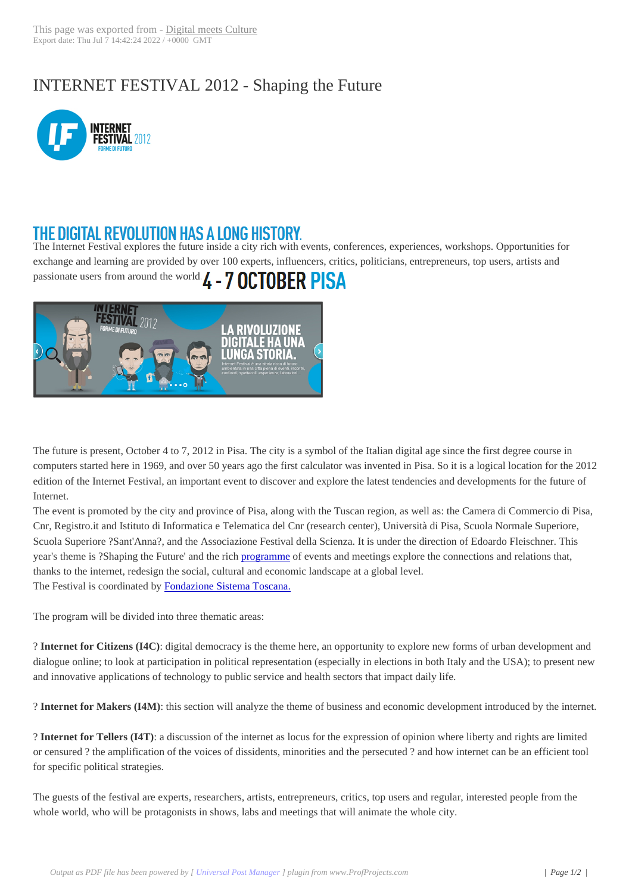## INTERNET FEST[IVAL 2012 - S](http://www.digitalmeetsculture.net/?p=9975)haping the Future



## THE DIGITAL REVOLUTION HAS A LONG HISTORY.

The Internet Festival explores the future inside a city rich with events, conferences, experiences, workshops. Opportunities for exchange and learning are provided by over 100 experts, influencers, critics, politicians, entrepreneurs, top users, artists and passionate users from around the world.  $\boldsymbol{L}$  - 7 OCTOBER PISA



The future is present, October 4 to 7, 2012 in Pisa. The city is a symbol of the Italian digital age since the first degree course in computers started here in 1969, and over 50 years ago the first calculator was invented in Pisa. So it is a logical location for the 2012 edition of the Internet Festival, an important event to discover and explore the latest tendencies and developments for the future of Internet.

The event is promoted by the city and province of Pisa, along with the Tuscan region, as well as: the Camera di Commercio di Pisa, Cnr, Registro.it and Istituto di Informatica e Telematica del Cnr (research center), Università di Pisa, Scuola Normale Superiore, Scuola Superiore ?Sant'Anna?, and the Associazione Festival della Scienza. It is under the direction of Edoardo Fleischner. This year's theme is ?Shaping the Future' and the rich programme of events and meetings explore the connections and relations that, thanks to the internet, redesign the social, cultural and economic landscape at a global level. The Festival is coordinated by Fondazione Sistema Toscana.

The program will be divided into three thematic [areas:](http://www.internetfestival.it/scarica-il-pdf/)

? **Internet for Citizens (I4C)**: [digital democracy is the them](http://www.fondazionesistematoscana.it/)e here, an opportunity to explore new forms of urban development and dialogue online; to look at participation in political representation (especially in elections in both Italy and the USA); to present new and innovative applications of technology to public service and health sectors that impact daily life.

? **Internet for Makers (I4M)**: this section will analyze the theme of business and economic development introduced by the internet.

? **Internet for Tellers (I4T)**: a discussion of the internet as locus for the expression of opinion where liberty and rights are limited or censured ? the amplification of the voices of dissidents, minorities and the persecuted ? and how internet can be an efficient tool for specific political strategies.

The guests of the festival are experts, researchers, artists, entrepreneurs, critics, top users and regular, interested people from the whole world, who will be protagonists in shows, labs and meetings that will animate the whole city.